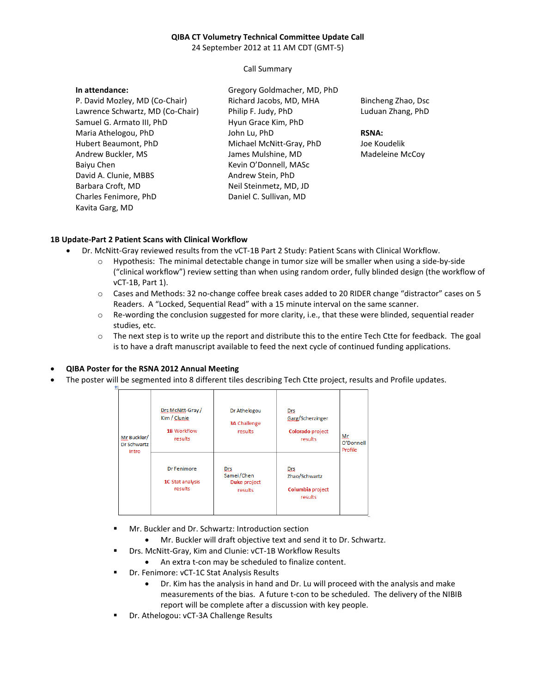## **QIBA CT Volumetry Technical Committee Update Call**

24 September 2012 at 11 AM CDT (GMT-5)

Call Summary

| In attendance:                   | Gregory Goldmacher, MD, PhD |                    |
|----------------------------------|-----------------------------|--------------------|
| P. David Mozley, MD (Co-Chair)   | Richard Jacobs, MD, MHA     | Bincheng Zhao, Dsc |
| Lawrence Schwartz, MD (Co-Chair) | Philip F. Judy, PhD         | Luduan Zhang, PhD  |
| Samuel G. Armato III, PhD        | Hyun Grace Kim, PhD         |                    |
| Maria Athelogou, PhD             | John Lu, PhD                | <b>RSNA:</b>       |
| Hubert Beaumont, PhD             | Michael McNitt-Gray, PhD    | Joe Koudelik       |
| Andrew Buckler, MS               | James Mulshine, MD          | Madeleine McCoy    |
| Baiyu Chen                       | Kevin O'Donnell, MASc       |                    |
| David A. Clunie, MBBS            | Andrew Stein, PhD           |                    |
| Barbara Croft, MD                | Neil Steinmetz, MD, JD      |                    |
| Charles Fenimore, PhD            | Daniel C. Sullivan, MD      |                    |
| Kavita Garg, MD                  |                             |                    |

## **1B Update-Part 2 Patient Scans with Clinical Workflow**

- Dr. McNitt-Gray reviewed results from the vCT-1B Part 2 Study: Patient Scans with Clinical Workflow.
	- o Hypothesis: The minimal detectable change in tumor size will be smaller when using a side-by-side ("clinical workflow") review setting than when using random order, fully blinded design (the workflow of vCT-1B, Part 1).
	- o Cases and Methods: 32 no-change coffee break cases added to 20 RIDER change "distractor" cases on 5 Readers. A "Locked, Sequential Read" with a 15 minute interval on the same scanner.
	- o Re-wording the conclusion suggested for more clarity, i.e., that these were blinded, sequential reader studies, etc.
	- o The next step is to write up the report and distribute this to the entire Tech Ctte for feedback. The goal is to have a draft manuscript available to feed the next cycle of continued funding applications.

## • **QIBA Poster for the RSNA 2012 Annual Meeting**

判

• The poster will be segmented into 8 different tiles describing Tech Ctte project, results and Profile updates.

| Mr Buckler/<br>Dr Schwartz<br>Intro | Drs McNitt-Gray/<br>Kim / Clunie<br>1B Workflow<br>results | Dr Athelogou<br><b>3A Challenge</b><br>results | Drs<br>Garg/Scherzinger<br>Colorado project<br>results | Mr<br>O'Donnell<br>Profile |
|-------------------------------------|------------------------------------------------------------|------------------------------------------------|--------------------------------------------------------|----------------------------|
|                                     | Dr Fenimore<br>1C Stat analysis<br>results                 | Drs<br>Samei/Chen<br>Duke project<br>results   | Drs<br>Zhao/Schwartz<br>Columbia project<br>results    |                            |

- Mr. Buckler and Dr. Schwartz: Introduction section
	- Mr. Buckler will draft objective text and send it to Dr. Schwartz.
- Drs. McNitt-Gray, Kim and Clunie: vCT-1B Workflow Results
	- An extra t-con may be scheduled to finalize content.
	- Dr. Fenimore: vCT-1C Stat Analysis Results
		- Dr. Kim has the analysis in hand and Dr. Lu will proceed with the analysis and make measurements of the bias. A future t-con to be scheduled. The delivery of the NIBIB report will be complete after a discussion with key people.
- Dr. Athelogou: vCT-3A Challenge Results